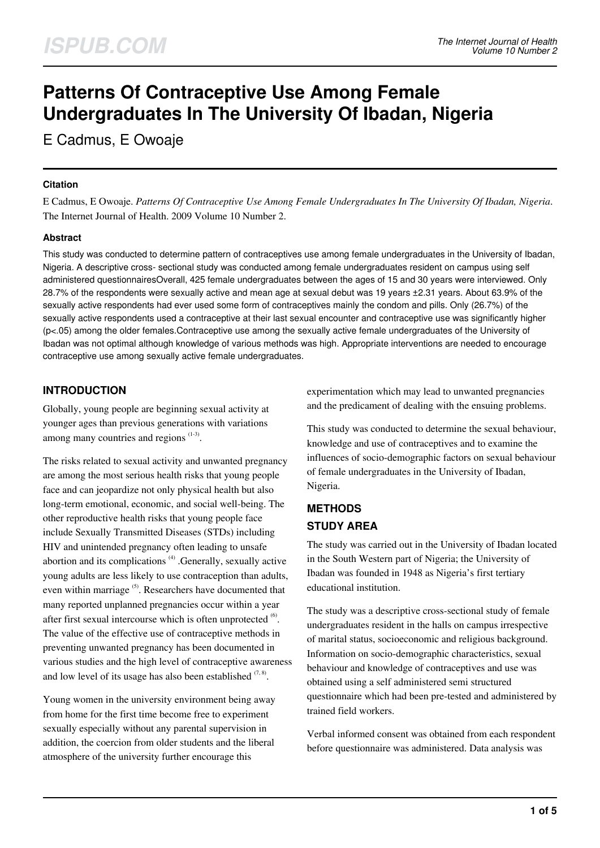# **Patterns Of Contraceptive Use Among Female Undergraduates In The University Of Ibadan, Nigeria**

E Cadmus, E Owoaje

#### **Citation**

E Cadmus, E Owoaje. *Patterns Of Contraceptive Use Among Female Undergraduates In The University Of Ibadan, Nigeria*. The Internet Journal of Health. 2009 Volume 10 Number 2.

#### **Abstract**

This study was conducted to determine pattern of contraceptives use among female undergraduates in the University of Ibadan, Nigeria. A descriptive cross- sectional study was conducted among female undergraduates resident on campus using self administered questionnairesOverall, 425 female undergraduates between the ages of 15 and 30 years were interviewed. Only 28.7% of the respondents were sexually active and mean age at sexual debut was 19 years ±2.31 years. About 63.9% of the sexually active respondents had ever used some form of contraceptives mainly the condom and pills. Only (26.7%) of the sexually active respondents used a contraceptive at their last sexual encounter and contraceptive use was significantly higher (p<.05) among the older females.Contraceptive use among the sexually active female undergraduates of the University of Ibadan was not optimal although knowledge of various methods was high. Appropriate interventions are needed to encourage contraceptive use among sexually active female undergraduates.

## **INTRODUCTION**

Globally, young people are beginning sexual activity at younger ages than previous generations with variations among many countries and regions  $(1-3)$ .

The risks related to sexual activity and unwanted pregnancy are among the most serious health risks that young people face and can jeopardize not only physical health but also long-term emotional, economic, and social well-being. The other reproductive health risks that young people face include Sexually Transmitted Diseases (STDs) including HIV and unintended pregnancy often leading to unsafe abortion and its complications<sup>(4)</sup> .Generally, sexually active young adults are less likely to use contraception than adults, even within marriage <sup>(5)</sup>. Researchers have documented that many reported unplanned pregnancies occur within a year after first sexual intercourse which is often unprotected  $\overset{(6)}{ }$ . The value of the effective use of contraceptive methods in preventing unwanted pregnancy has been documented in various studies and the high level of contraceptive awareness and low level of its usage has also been established  $(7, 8)$ .

Young women in the university environment being away from home for the first time become free to experiment sexually especially without any parental supervision in addition, the coercion from older students and the liberal atmosphere of the university further encourage this

experimentation which may lead to unwanted pregnancies and the predicament of dealing with the ensuing problems.

This study was conducted to determine the sexual behaviour, knowledge and use of contraceptives and to examine the influences of socio-demographic factors on sexual behaviour of female undergraduates in the University of Ibadan, Nigeria.

## **METHODS STUDY AREA**

The study was carried out in the University of Ibadan located in the South Western part of Nigeria; the University of Ibadan was founded in 1948 as Nigeria's first tertiary educational institution.

The study was a descriptive cross-sectional study of female undergraduates resident in the halls on campus irrespective of marital status, socioeconomic and religious background. Information on socio-demographic characteristics, sexual behaviour and knowledge of contraceptives and use was obtained using a self administered semi structured questionnaire which had been pre-tested and administered by trained field workers.

Verbal informed consent was obtained from each respondent before questionnaire was administered. Data analysis was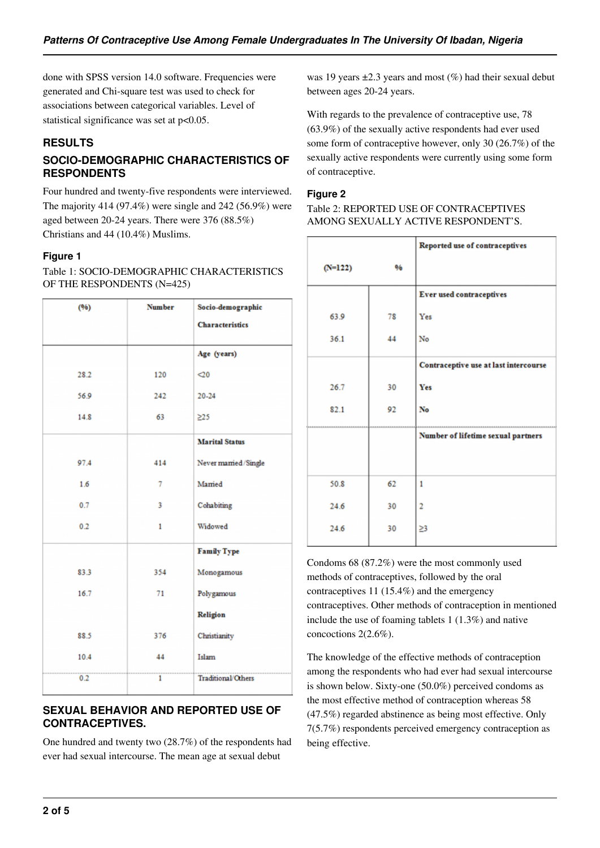done with SPSS version 14.0 software. Frequencies were generated and Chi-square test was used to check for associations between categorical variables. Level of statistical significance was set at  $p<0.05$ .

## **RESULTS**

## **SOCIO-DEMOGRAPHIC CHARACTERISTICS OF RESPONDENTS**

Four hundred and twenty-five respondents were interviewed. The majority 414 (97.4%) were single and 242 (56.9%) were aged between 20-24 years. There were 376 (88.5%) Christians and 44 (10.4%) Muslims.

#### **Figure 1**

Table 1: SOCIO-DEMOGRAPHIC CHARACTERISTICS OF THE RESPONDENTS (N=425)

| (96) | <b>Number</b> | Socio-demographic      |  |
|------|---------------|------------------------|--|
|      |               | <b>Characteristics</b> |  |
|      |               | Age (years)            |  |
| 28.2 | 120           | $\triangleleft$        |  |
| 56.9 | 242           | 20-24                  |  |
| 14.8 | 63            | $\geq$ 25              |  |
|      |               | <b>Marital Status</b>  |  |
| 97.4 | 414           | Never married/Single   |  |
| 1.6  | 7             | Mamed                  |  |
| 0.7  | 3             | Cohabiting             |  |
| 0.2  | 1             | Widowed                |  |
|      |               | <b>Family Type</b>     |  |
| 83.3 | 354           | Monogamous             |  |
| 16.7 | 71            | Polygamous             |  |
|      |               | Religion               |  |
| 88.5 | 376           | Christianity           |  |
| 10.4 | 44            | Islam                  |  |
| 0.2  | 1             | Traditional/Others     |  |

#### **SEXUAL BEHAVIOR AND REPORTED USE OF CONTRACEPTIVES.**

One hundred and twenty two (28.7%) of the respondents had ever had sexual intercourse. The mean age at sexual debut

was 19 years  $\pm 2.3$  years and most (%) had their sexual debut between ages 20-24 years.

With regards to the prevalence of contraceptive use, 78 (63.9%) of the sexually active respondents had ever used some form of contraceptive however, only 30 (26.7%) of the sexually active respondents were currently using some form of contraceptive.

#### **Figure 2**

Table 2: REPORTED USE OF CONTRACEPTIVES AMONG SEXUALLY ACTIVE RESPONDENT'S.

|           |    | Reported use of contraceptives            |
|-----------|----|-------------------------------------------|
| $(N=122)$ | 96 |                                           |
|           |    | <b>Ever used contraceptives</b>           |
| 63.9      | 78 | Yes                                       |
| 36.1      | 44 | No                                        |
|           |    | Contraceptive use at last intercourse     |
| 26.7      | 30 | Yes                                       |
| 82.1      | 92 | No                                        |
|           |    | <b>Number of lifetime sexual partners</b> |
|           |    |                                           |
| 50.8      | 62 | $\mathbf{1}$                              |
| 24.6      | 30 | $\overline{2}$                            |
| 24.6      | 30 | 23                                        |

Condoms 68 (87.2%) were the most commonly used methods of contraceptives, followed by the oral contraceptives 11 (15.4%) and the emergency contraceptives. Other methods of contraception in mentioned include the use of foaming tablets 1 (1.3%) and native concoctions 2(2.6%).

The knowledge of the effective methods of contraception among the respondents who had ever had sexual intercourse is shown below. Sixty-one (50.0%) perceived condoms as the most effective method of contraception whereas 58 (47.5%) regarded abstinence as being most effective. Only 7(5.7%) respondents perceived emergency contraception as being effective.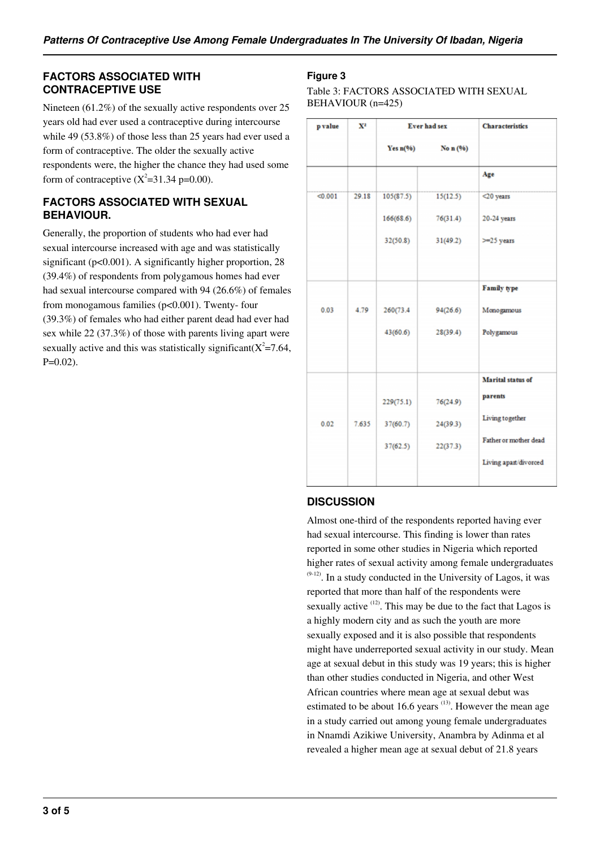#### **FACTORS ASSOCIATED WITH CONTRACEPTIVE USE**

Nineteen (61.2%) of the sexually active respondents over 25 years old had ever used a contraceptive during intercourse while 49 (53.8%) of those less than 25 years had ever used a form of contraceptive. The older the sexually active respondents were, the higher the chance they had used some form of contraceptive  $(X^2=31.34 \text{ p} = 0.00)$ .

#### **FACTORS ASSOCIATED WITH SEXUAL BEHAVIOUR.**

Generally, the proportion of students who had ever had sexual intercourse increased with age and was statistically significant (p<0.001). A significantly higher proportion, 28 (39.4%) of respondents from polygamous homes had ever had sexual intercourse compared with 94 (26.6%) of females from monogamous families (p<0.001). Twenty- four (39.3%) of females who had either parent dead had ever had sex while 22 (37.3%) of those with parents living apart were sexually active and this was statistically significant( $X^2 = 7.64$ ,  $P=0.02$ ).

## **Figure 3**

Table 3: FACTORS ASSOCIATED WITH SEXUAL BEHAVIOUR (n=425)

| $\mathbf{X}^{\mathbf{2}}$<br>p value |       | <b>Ever had sex</b> |            | <b>Characteristics</b>   |
|--------------------------------------|-------|---------------------|------------|--------------------------|
|                                      |       | Yes $n(96)$         | No $n(96)$ |                          |
|                                      |       |                     |            | Age                      |
| < 0.001<br>29.18                     |       | 105(87.5)           | 15(12.5)   | $<$ 20 years             |
|                                      |       | 166(68.6)           | 76(31.4)   | 20-24 years              |
|                                      |       | 32(50.8)            | 31(49.2)   | $>=25$ years             |
|                                      |       |                     |            | <b>Family type</b>       |
| 0.03                                 | 4.79  | 260(73.4)           | 94(26.6)   | Monogamous               |
|                                      |       | 43(60.6)            | 28(39.4)   | Polygamous               |
|                                      |       |                     |            | <b>Marital</b> status of |
|                                      |       | 229(75.1)           | 76(24.9)   | parents                  |
| 0.02                                 | 7.635 | 37(60.7)            | 24(39.3)   | Living together          |
|                                      |       | 37(62.5)            | 22(37.3)   | Father or mother dead    |
|                                      |       |                     |            | Living apart/divorced    |

## **DISCUSSION**

Almost one-third of the respondents reported having ever had sexual intercourse. This finding is lower than rates reported in some other studies in Nigeria which reported higher rates of sexual activity among female undergraduates  $(9-12)$ . In a study conducted in the University of Lagos, it was reported that more than half of the respondents were sexually active  $(12)$ . This may be due to the fact that Lagos is a highly modern city and as such the youth are more sexually exposed and it is also possible that respondents might have underreported sexual activity in our study. Mean age at sexual debut in this study was 19 years; this is higher than other studies conducted in Nigeria, and other West African countries where mean age at sexual debut was estimated to be about 16.6 years  $(13)$ . However the mean age in a study carried out among young female undergraduates in Nnamdi Azikiwe University, Anambra by Adinma et al revealed a higher mean age at sexual debut of 21.8 years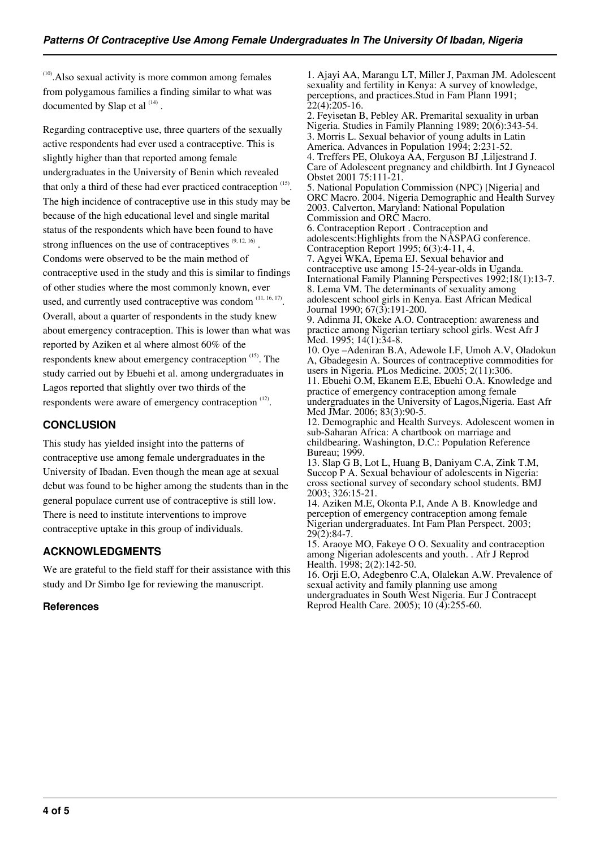$^{(10)}$ . Also sexual activity is more common among females from polygamous families a finding similar to what was documented by Slap et al  $(14)$ .

Regarding contraceptive use, three quarters of the sexually active respondents had ever used a contraceptive. This is slightly higher than that reported among female undergraduates in the University of Benin which revealed that only a third of these had ever practiced contraception (15). The high incidence of contraceptive use in this study may be because of the high educational level and single marital status of the respondents which have been found to have strong influences on the use of contraceptives  $(9, 12, 16)$ . Condoms were observed to be the main method of contraceptive used in the study and this is similar to findings of other studies where the most commonly known, ever used, and currently used contraceptive was condom  $(11, 16, 17)$ . Overall, about a quarter of respondents in the study knew about emergency contraception. This is lower than what was reported by Aziken et al where almost 60% of the respondents knew about emergency contraception  $(15)$ . The study carried out by Ebuehi et al. among undergraduates in Lagos reported that slightly over two thirds of the respondents were aware of emergency contraception  $(12)$ .

#### **CONCLUSION**

This study has yielded insight into the patterns of contraceptive use among female undergraduates in the University of Ibadan. Even though the mean age at sexual debut was found to be higher among the students than in the general populace current use of contraceptive is still low. There is need to institute interventions to improve contraceptive uptake in this group of individuals.

#### **ACKNOWLEDGMENTS**

We are grateful to the field staff for their assistance with this study and Dr Simbo Ige for reviewing the manuscript.

#### **References**

1. Ajayi AA, Marangu LT, Miller J, Paxman JM. Adolescent sexuality and fertility in Kenya: A survey of knowledge, perceptions, and practices.Stud in Fam Plann 1991;  $22(4):205-16.$ 

2. Feyisetan B, Pebley AR. Premarital sexuality in urban Nigeria. Studies in Family Planning 1989; 20(6):343-54. 3. Morris L. Sexual behavior of young adults in Latin America. Advances in Population 1994; 2:231-52. 4. Treffers PE, Olukoya AA, Ferguson BJ ,Liljestrand J. Care of Adolescent pregnancy and childbirth. Int J Gyneacol Obstet 2001 75:111-21. 5. National Population Commission (NPC) [Nigeria] and ORC Macro. 2004. Nigeria Demographic and Health Survey 2003. Calverton, Maryland: National Population Commission and ORC Macro. 6. Contraception Report . Contraception and adolescents:Highlights from the NASPAG conference. Contraception Report 1995; 6(3):4-11, 4. 7. Agyei WKA, Epema EJ. Sexual behavior and contraceptive use among 15-24-year-olds in Uganda. International Family Planning Perspectives 1992;18(1):13-7. 8. Lema VM. The determinants of sexuality among adolescent school girls in Kenya. East African Medical Journal 1990; 67(3):191-200. 9. Adinma JI, Okeke A.O. Contraception: awareness and practice among Nigerian tertiary school girls. West Afr J Med. 1995;  $14(1):34-8$ . 10. Oye –Adeniran B.A, Adewole I.F, Umoh A.V, Oladokun A, Gbadegesin A. Sources of contraceptive commodities for users in Nigeria. PLos Medicine. 2005; 2(11):306. 11. Ebuehi O.M, Ekanem E.E, Ebuehi O.A. Knowledge and practice of emergency contraception among female undergraduates in the University of Lagos, Nigeria. East Afr Med JMar. 2006; 83(3):90-5. 12. Demographic and Health Surveys. Adolescent women in sub-Saharan Africa: A chartbook on marriage and childbearing. Washington, D.C.: Population Reference Bureau; 1999. 13. Slap G B, Lot L, Huang B, Daniyam C.A, Zink T.M, Succop P A. Sexual behaviour of adolescents in Nigeria: cross sectional survey of secondary school students. BMJ 2003; 326:15-21. 14. Aziken M.E, Okonta P.I, Ande A B. Knowledge and perception of emergency contraception among female Nigerian undergraduates. Int Fam Plan Perspect. 2003; 29(2):84-7. 15. Araoye MO, Fakeye O O. Sexuality and contraception among Nigerian adolescents and youth. . Afr J Reprod Health. 1998; 2(2):142-50.

16. Orji E.O, Adegbenro C.A, Olalekan A.W. Prevalence of sexual activity and family planning use among undergraduates in South West Nigeria. Eur J Contracept Reprod Health Care. 2005); 10 (4):255-60.